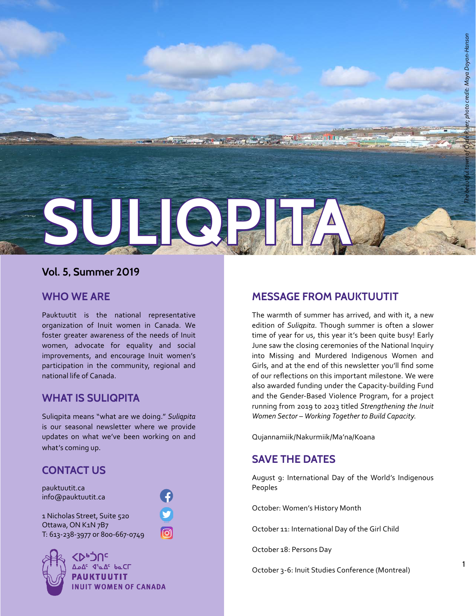

### **Vol. 5, Summer 2019**

#### **WHO WE ARE**

Pauktuutit is the national representative organization of Inuit women in Canada. We foster greater awareness of the needs of Inuit women, advocate for equality and social improvements, and encourage Inuit women's participation in the community, regional and national life of Canada.

### **WHAT IS SULIQPITA**

Suliqpita means "what are we doing." *Suliqpita*  is our seasonal newsletter where we provide updates on what we've been working on and what's coming up.

### **CONTACT US**

pauktuutit.ca info@pauktuutit.ca

1 Nicholas Street, Suite 520 Ottawa, ON K1N 7B7 T: 613-238-3977 or 800-667-0749



**<DP:UC** <mark>∆ه∆<sup>د</sup> ⊄'م∆<sup>د</sup> له د</mark> **PAUKTUUTIT INUIT WOMEN OF CANADA** 

ெ

### **MESSAGE FROM PAUKTUUTIT**

The warmth of summer has arrived, and with it, a new edition of *Suliqpita*. Though summer is often a slower time of year for us, this year it's been quite busy! Early June saw the closing ceremonies of the National Inquiry into Missing and Murdered Indigenous Women and Girls, and at the end of this newsletter you'll find some of our reflections on this important milestone. We were also awarded funding under the Capacity-building Fund and the Gender-Based Violence Program, for a project running from 2019 to 2023 titled *Strengthening the Inuit Women Sector – Working Together to Build Capacity*.

Qujannamiik/Nakurmiik/Ma'na/Koana

### **SAVE THE DATES**

August 9: International Day of the World's Indigenous Peoples

October: Women's History Month

October 11: International Day of the Girl Child

October 18: Persons Day

October 3-6: Inuit Studies Conference (Montreal)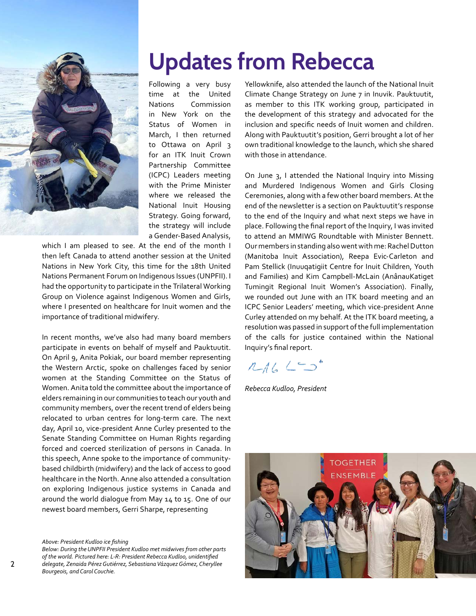

## **Updates from Rebecca**

Following a very busy time at the United Nations Commission in New York on the Status of Women in March, I then returned to Ottawa on April 3 for an ITK Inuit Crown Partnership Committee (ICPC) Leaders meeting with the Prime Minister where we released the National Inuit Housing Strategy. Going forward, the strategy will include a Gender-Based Analysis,

which I am pleased to see. At the end of the month I then left Canada to attend another session at the United Nations in New York City, this time for the 18th United Nations Permanent Forum on Indigenous Issues (UNPFII). I had the opportunity to participate in the Trilateral Working Group on Violence against Indigenous Women and Girls, where I presented on healthcare for Inuit women and the importance of traditional midwifery.

In recent months, we've also had many board members participate in events on behalf of myself and Pauktuutit. On April 9, Anita Pokiak, our board member representing the Western Arctic, spoke on challenges faced by senior women at the Standing Committee on the Status of Women. Anita told the committee about the importance of elders remaining in our communities to teach our youth and community members, over the recent trend of elders being relocated to urban centres for long-term care. The next day, April 10, vice-president Anne Curley presented to the Senate Standing Committee on Human Rights regarding forced and coerced sterilization of persons in Canada. In this speech, Anne spoke to the importance of communitybased childbirth (midwifery) and the lack of access to good healthcare in the North. Anne also attended a consultation on exploring Indigenous justice systems in Canada and around the world dialogue from May 14 to 15. One of our newest board members, Gerri Sharpe, representing

*Above: President Kudloo ice fishing*

2

*Below: During the UNPFII President Kudloo met midwives from other parts of the world. Pictured here: L-R: President Rebecca Kudloo, unidentified delegate, Zenaida Pérez Gutiérrez, Sebastiana Vázquez Gómez, Cheryllee Bourgeois, and Carol Couchie.*

Yellowknife, also attended the launch of the National Inuit Climate Change Strategy on June 7 in Inuvik. Pauktuutit, as member to this ITK working group, participated in the development of this strategy and advocated for the inclusion and specific needs of Inuit women and children. Along with Pauktuutit's position, Gerri brought a lot of her own traditional knowledge to the launch, which she shared with those in attendance.

On June 3, I attended the National Inquiry into Missing and Murdered Indigenous Women and Girls Closing Ceremonies, along with a few other board members. At the end of the newsletter is a section on Pauktuutit's response to the end of the Inquiry and what next steps we have in place. Following the final report of the Inquiry, I was invited to attend an MMIWG Roundtable with Minister Bennett. Our members in standing also went with me: Rachel Dutton (Manitoba Inuit Association), Reepa Evic-Carleton and Pam Stellick (Inuuqatigiit Centre for Inuit Children, Youth and Families) and Kim Campbell-McLain (AnânauKatiget Tumingit Regional Inuit Women's Association). Finally, we rounded out June with an ITK board meeting and an ICPC Senior Leaders' meeting, which vice-president Anne Curley attended on my behalf. At the ITK board meeting, a resolution was passed in support of the full implementation of the calls for justice contained within the National Inquiry's final report.

### $14620$

*Rebecca Kudloo, President*

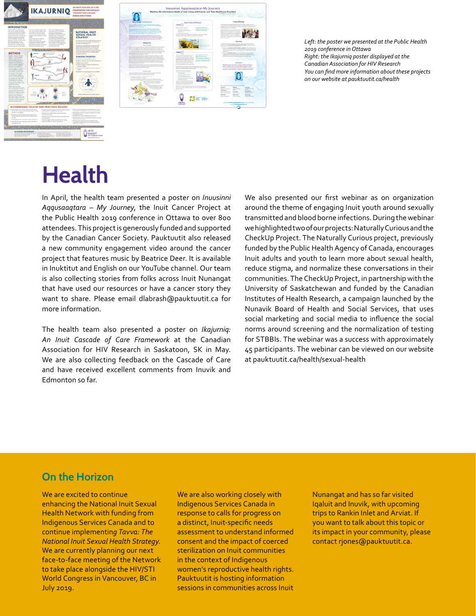



*Left: the poster we presented at the Public Health 2019 conference in Ottawa Right: the Ikajurniq poster displayed at the Canadian Association for HIV Research You can find more information about these projects on our website at pauktuutit.ca/health*

### **Health**

In April, the health team presented a poster on *Inuusinni Aqqusaaqtara – My Journey*, the Inuit Cancer Project at the Public Health 2019 conference in Ottawa to over 800 attendees. This project is generously funded and supported by the Canadian Cancer Society. Pauktuutit also released a new community engagement video around the cancer project that features music by Beatrice Deer. It is available in Inuktitut and English on our YouTube channel. Our team is also collecting stories from folks across Inuit Nunangat that have used our resources or have a cancer story they want to share. Please email dlabrash@pauktuutit.ca for more information.

The health team also presented a poster on *Ikajurniq: An Inuit Cascade of Care Framework* at the Canadian Association for HIV Research in Saskatoon, SK in May. We are also collecting feedback on the Cascade of Care and have received excellent comments from Inuvik and Edmonton so far.

We also presented our first webinar as on organization around the theme of engaging Inuit youth around sexually transmitted and blood borne infections. During the webinar we highlighted two of our projects: Naturally Curious and the CheckUp Project. The Naturally Curious project, previously funded by the Public Health Agency of Canada, encourages Inuit adults and youth to learn more about sexual health, reduce stigma, and normalize these conversations in their communities. The CheckUp Project, in partnership with the University of Saskatchewan and funded by the Canadian Institutes of Health Research, a campaign launched by the Nunavik Board of Health and Social Services, that uses social marketing and social media to influence the social norms around screening and the normalization of testing for STBBIs. The webinar was a success with approximately 45 participants. The webinar can be viewed on our website at pauktuutit.ca/health/sexual-health

### **On the Horizon**

We are excited to continue enhancing the National Inuit Sexual Health Network with funding from Indigenous Services Canada and to continue implementin*g Tavva: The National Inuit Sexual Health Strategy.*  We are currently planning our next face-to-face meeting of the Network to take place alongside the HIV/STI World Congress in Vancouver, BC in July 2019.

We are also working closely with Indigenous Services Canada in response to calls for progress on a distinct, Inuit-specific needs assessment to understand informed consent and the impact of coerced sterilization on Inuit communities in the context of Indigenous women's reproductive health rights. Pauktuutit is hosting information sessions in communities across Inuit

Nunangat and has so far visited Iqaluit and Inuvik, with upcoming trips to Rankin Inlet and Arviat. If you want to talk about this topic or its impact in your community, please contact rjones@pauktuutit.ca.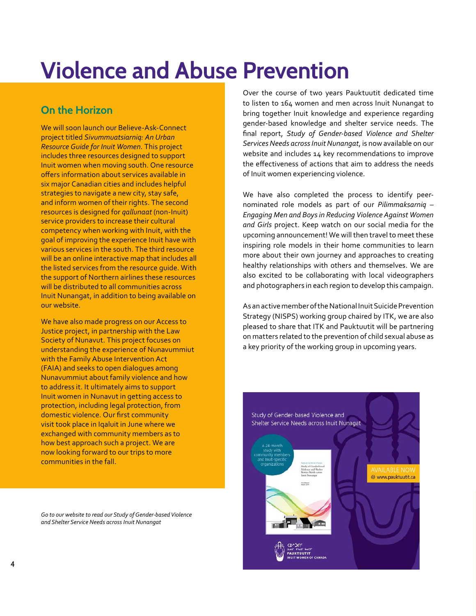## **Violence and Abuse Prevention**

### **On the Horizon**

We will soon launch our Believe-Ask-Connect project titled *Sivummuatsiarniq: An Urban Resource Guide for Inuit Women*. This project includes three resources designed to support Inuit women when moving south. One resource offers information about services available in six major Canadian cities and includes helpful strategies to navigate a new city, stay safe, and inform women of their rights. The second resources is designed for *qallunaat* (non-Inuit) service providers to increase their cultural competency when working with Inuit, with the goal of improving the experience Inuit have with various services in the south. The third resource will be an online interactive map that includes all the listed services from the resource guide. With the support of Northern airlines these resources will be distributed to all communities across Inuit Nunangat, in addition to being available on our website.

We have also made progress on our Access to Justice project, in partnership with the Law Society of Nunavut. This project focuses on understanding the experience of Nunavummiut with the Family Abuse Intervention Act (FAIA) and seeks to open dialogues among Nunavummiut about family violence and how to address it. It ultimately aims to support Inuit women in Nunavut in getting access to protection, including legal protection, from domestic violence. Our first community visit took place in Iqaluit in June where we exchanged with community members as to how best approach such a project. We are now looking forward to our trips to more communities in the fall.

*Go to our website to read our Study of Gender-based Violence and Shelter Service Needs across Inuit Nunangat*

Over the course of two years Pauktuutit dedicated time to listen to 164 women and men across Inuit Nunangat to bring together Inuit knowledge and experience regarding gender-based knowledge and shelter service needs. The final report, *Study of Gender-based Violence and Shelter Services Needs across Inuit Nunangat*, is now available on our website and includes 14 key recommendations to improve the effectiveness of actions that aim to address the needs of Inuit women experiencing violence.

We have also completed the process to identify peernominated role models as part of our *Pilimmaksarniq – Engaging Men and Boys in Reducing Violence Against Women and Girls* project. Keep watch on our social media for the upcoming announcement! We will then travel to meet these inspiring role models in their home communities to learn more about their own journey and approaches to creating healthy relationships with others and themselves. We are also excited to be collaborating with local videographers and photographers in each region to develop this campaign.

As an active member of the National Inuit Suicide Prevention Strategy (NISPS) working group chaired by ITK, we are also pleased to share that ITK and Pauktuutit will be partnering on matters related to the prevention of child sexual abuse as a key priority of the working group in upcoming years.

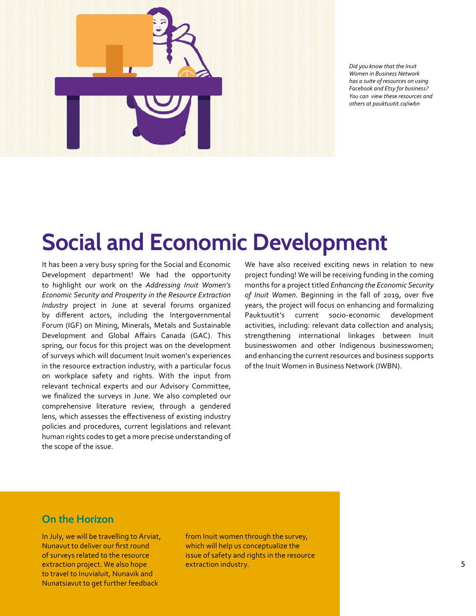

*Did you know that the Inuit Women in Business Network has a suite of resources on using Facebook and Etsy for business? You can view these resources and others at pauktuutit.ca/iwbn*

### **Social and Economic Development**

It has been a very busy spring for the Social and Economic Development department! We had the opportunity to highlight our work on the *Addressing Inuit Women's Economic Security and Prosperity in the Resource Extraction Industry* project in June at several forums organized by different actors, including the Intergovernmental Forum (IGF) on Mining, Minerals, Metals and Sustainable Development and Global Affairs Canada (GAC). This spring, our focus for this project was on the development of surveys which will document Inuit women's experiences in the resource extraction industry, with a particular focus on workplace safety and rights. With the input from relevant technical experts and our Advisory Committee, we finalized the surveys in June. We also completed our comprehensive literature review, through a gendered lens, which assesses the effectiveness of existing industry policies and procedures, current legislations and relevant human rights codes to get a more precise understanding of the scope of the issue.

We have also received exciting news in relation to new project funding! We will be receiving funding in the coming months for a project titled *Enhancing the Economic Security of Inuit Women*. Beginning in the fall of 2019, over five years, the project will focus on enhancing and formalizing Pauktuutit's current socio-economic development activities, including: relevant data collection and analysis; strengthening international linkages between Inuit businesswomen and other Indigenous businesswomen; and enhancing the current resources and business supports of the Inuit Women in Business Network (IWBN).

#### **On the Horizon**

In July, we will be travelling to Arviat, Nunavut to deliver our first round of surveys related to the resource extraction project. We also hope to travel to Inuvialuit, Nunavik and Nunatsiavut to get further feedback

from Inuit women through the survey, which will help us conceptualize the issue of safety and rights in the resource extraction industry.